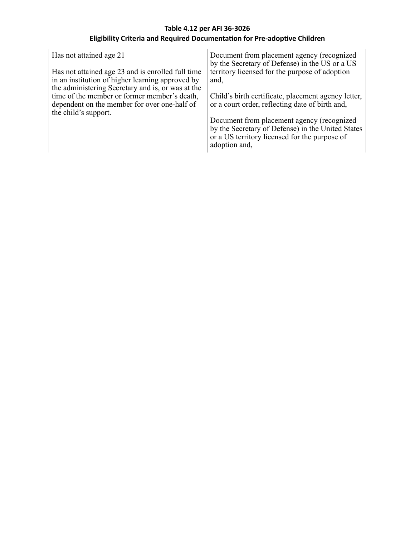## **Table 4.12 per AFI 36-3026 Eligibility Criteria and Required Documentation for Pre-adoptive Children**

| Has not attained age 21<br>Has not attained age 23 and is enrolled full time<br>in an institution of higher learning approved by<br>the administering Secretary and is, or was at the<br>time of the member or former member's death,<br>dependent on the member for over one-half of<br>the child's support. | Document from placement agency (recognized<br>by the Secretary of Defense) in the US or a US<br>territory licensed for the purpose of adoption<br>and,<br>Child's birth certificate, placement agency letter,<br>or a court order, reflecting date of birth and,<br>Document from placement agency (recognized<br>by the Secretary of Defense) in the United States |
|---------------------------------------------------------------------------------------------------------------------------------------------------------------------------------------------------------------------------------------------------------------------------------------------------------------|---------------------------------------------------------------------------------------------------------------------------------------------------------------------------------------------------------------------------------------------------------------------------------------------------------------------------------------------------------------------|
|                                                                                                                                                                                                                                                                                                               | or a US territory licensed for the purpose of<br>adoption and,                                                                                                                                                                                                                                                                                                      |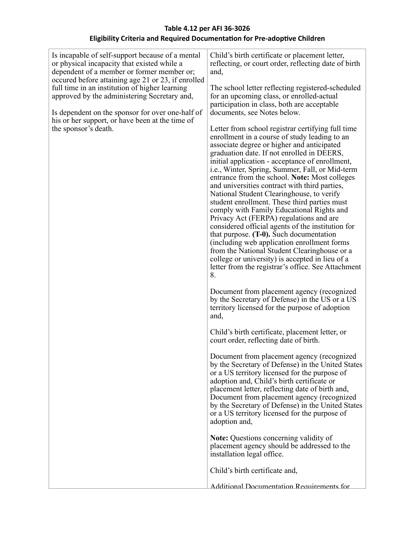## **Table 4.12 per AFI 36-3026 Eligibility Criteria and Required Documentation for Pre-adoptive Children**

| Is incapable of self-support because of a mental<br>or physical incapacity that existed while a<br>dependent of a member or former member or;<br>occured before attaining age 21 or 23, if enrolled<br>full time in an institution of higher learning<br>approved by the administering Secretary and,<br>Is dependent on the sponsor for over one-half of<br>his or her support, or have been at the time of<br>the sponsor's death. | Child's birth certificate or placement letter,<br>reflecting, or court order, reflecting date of birth<br>and,<br>The school letter reflecting registered-scheduled<br>for an upcoming class, or enrolled-actual<br>participation in class, both are acceptable<br>documents, see Notes below.<br>Letter from school registrar certifying full time                                                                                                                                                                                                                                                                                                                                                                                                                                                                                                      |
|--------------------------------------------------------------------------------------------------------------------------------------------------------------------------------------------------------------------------------------------------------------------------------------------------------------------------------------------------------------------------------------------------------------------------------------|----------------------------------------------------------------------------------------------------------------------------------------------------------------------------------------------------------------------------------------------------------------------------------------------------------------------------------------------------------------------------------------------------------------------------------------------------------------------------------------------------------------------------------------------------------------------------------------------------------------------------------------------------------------------------------------------------------------------------------------------------------------------------------------------------------------------------------------------------------|
|                                                                                                                                                                                                                                                                                                                                                                                                                                      | enrollment in a course of study leading to an<br>associate degree or higher and anticipated<br>graduation date. If not enrolled in DEERS,<br>initial application - acceptance of enrollment,<br>i.e., Winter, Spring, Summer, Fall, or Mid-term<br>entrance from the school. Note: Most colleges<br>and universities contract with third parties,<br>National Student Clearinghouse, to verify<br>student enrollment. These third parties must<br>comply with Family Educational Rights and<br>Privacy Act (FERPA) regulations and are<br>considered official agents of the institution for<br>that purpose. $(T-0)$ . Such documentation<br>(including web application enrollment forms)<br>from the National Student Clearinghouse or a<br>college or university) is accepted in lieu of a<br>letter from the registrar's office. See Attachment<br>8. |
|                                                                                                                                                                                                                                                                                                                                                                                                                                      | Document from placement agency (recognized<br>by the Secretary of Defense) in the US or a US<br>territory licensed for the purpose of adoption<br>and,                                                                                                                                                                                                                                                                                                                                                                                                                                                                                                                                                                                                                                                                                                   |
|                                                                                                                                                                                                                                                                                                                                                                                                                                      | Child's birth certificate, placement letter, or<br>court order, reflecting date of birth.                                                                                                                                                                                                                                                                                                                                                                                                                                                                                                                                                                                                                                                                                                                                                                |
|                                                                                                                                                                                                                                                                                                                                                                                                                                      | Document from placement agency (recognized<br>by the Secretary of Defense) in the United States<br>or a US territory licensed for the purpose of<br>adoption and, Child's birth certificate or<br>placement letter, reflecting date of birth and,<br>Document from placement agency (recognized<br>by the Secretary of Defense) in the United States<br>or a US territory licensed for the purpose of<br>adoption and,                                                                                                                                                                                                                                                                                                                                                                                                                                   |
|                                                                                                                                                                                                                                                                                                                                                                                                                                      | <b>Note:</b> Questions concerning validity of<br>placement agency should be addressed to the<br>installation legal office.                                                                                                                                                                                                                                                                                                                                                                                                                                                                                                                                                                                                                                                                                                                               |
|                                                                                                                                                                                                                                                                                                                                                                                                                                      | Child's birth certificate and,                                                                                                                                                                                                                                                                                                                                                                                                                                                                                                                                                                                                                                                                                                                                                                                                                           |
|                                                                                                                                                                                                                                                                                                                                                                                                                                      | Additional Documentation Requirements for                                                                                                                                                                                                                                                                                                                                                                                                                                                                                                                                                                                                                                                                                                                                                                                                                |